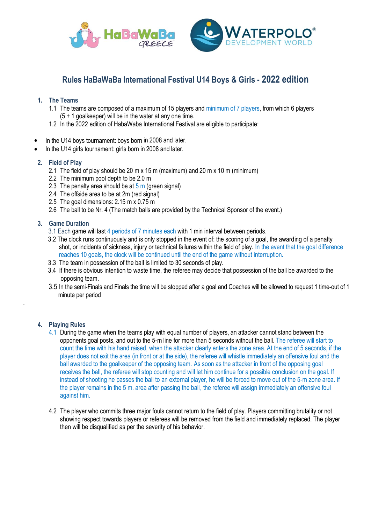

# **Rules HaBaWaBa International Festival U14 Boys & Girls - 2022 edition**

## **1. The Teams**

- 1.1 The teams are composed of a maximum of 15 players and minimum of 7 players, from which 6 players (5 + 1 goalkeeper) will be in the water at any one time.
- 1.2 In the 2022 edition of HabaWaba International Festival are eligible to participate:
- In the U14 boys tournament: boys born in 2008 and later.
- In the U14 girls tournament: girls born in 2008 and later.

## **2. Field of Play**

- 2.1 The field of play should be 20 m x 15 m (maximum) and 20 m x 10 m (minimum)
- 2.2 The minimum pool depth to be 2.0 m
- 2.3 The penalty area should be at  $5 \text{ m}$  (green signal)
- 2.4 The offside area to be at 2m (red signal)
- 2.5 The goal dimensions: 2.15 m x 0.75 m
- 2.6 The ball to be Nr. 4 (The match balls are provided by the Technical Sponsor of the event.)

## **3. Game Duration**

- 3.1 Each game will last 4 periods of 7 minutes each with 1 min interval between periods.
- 3.2 The clock runs continuously and is only stopped in the event of: the scoring of a goal, the awarding of a penalty shot, or incidents of sickness, injury or technical failures within the field of play. In the event that the goal difference reaches 10 goals, the clock will be continued until the end of the game without interruption.
- 3.3 The team in possession of the ball is limited to 30 seconds of play.
- 3.4 If there is obvious intention to waste time, the referee may decide that possession of the ball be awarded to the opposing team.
- 3.5 In the semi-Finals and Finals the time will be stopped after a goal and Coaches will be allowed to request 1 time-out of 1 minute per period

#### **4. Playing Rules**

.

- 4.1 During the game when the teams play with equal number of players, an attacker cannot stand between the opponents goal posts, and out to the 5-m line for more than 5 seconds without the ball. The referee will start to count the time with his hand raised, when the attacker clearly enters the zone area. At the end of 5 seconds, if the player does not exit the area (in front or at the side), the referee will whistle immediately an offensive foul and the ball awarded to the goalkeeper of the opposing team. As soon as the attacker in front of the opposing goal receives the ball, the referee will stop counting and will let him continue for a possible conclusion on the goal. If instead of shooting he passes the ball to an external player, he will be forced to move out of the 5-m zone area. If the player remains in the 5 m. area after passing the ball, the referee will assign immediately an offensive foul against him.
- 4.2 The player who commits three major fouls cannot return to the field of play. Players committing brutality or not showing respect towards players or referees will be removed from the field and immediately replaced. The player then will be disqualified as per the severity of his behavior.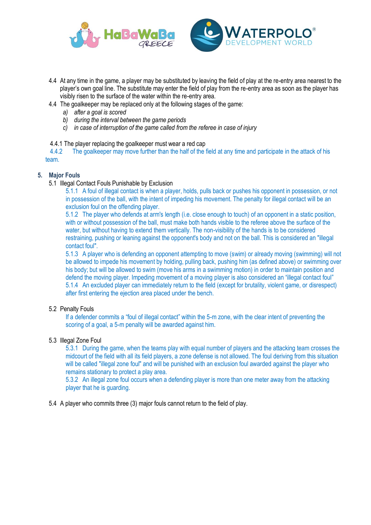



- 4.4 At any time in the game, a player may be substituted by leaving the field of play at the re-entry area nearest to the player's own goal line. The substitute may enter the field of play from the re-entry area as soon as the player has visibly risen to the surface of the water within the re-entry area.
- 4.4 The goalkeeper may be replaced only at the following stages of the game:
	- *a) after a goal is scored*
	- *b) during the interval between the game periods*
	- *c) in case of interruption of the game called from the referee in case of injury*
- 4.4.1 The player replacing the goalkeeper must wear a red cap

 4.4.2 The goalkeeper may move further than the half of the field at any time and participate in the attack of his team.

#### **5. Major Fouls**

5.1 Illegal Contact Fouls Punishable by Exclusion

5.1.1 A foul of illegal contact is when a player, holds, pulls back or pushes his opponent in possession, or not in possession of the ball, with the intent of impeding his movement. The penalty for illegal contact will be an exclusion foul on the offending player.

5.1.2 The player who defends at arm's length (i.e. close enough to touch) of an opponent in a static position, with or without possession of the ball, must make both hands visible to the referee above the surface of the water, but without having to extend them vertically. The non-visibility of the hands is to be considered restraining, pushing or leaning against the opponent's body and not on the ball. This is considered an "illegal contact foul".

5.1.3 A player who is defending an opponent attempting to move (swim) or already moving (swimming) will not be allowed to impede his movement by holding, pulling back, pushing him (as defined above) or swimming over his body; but will be allowed to swim (move his arms in a swimming motion) in order to maintain position and defend the moving player. Impeding movement of a moving player is also considered an "illegal contact foul" 5.1.4 An excluded player can immediately return to the field (except for brutality, violent game, or disrespect) after first entering the ejection area placed under the bench.

#### 5.2 Penalty Fouls

If a defender commits a "foul of illegal contact" within the 5-m zone, with the clear intent of preventing the scoring of a goal, a 5-m penalty will be awarded against him.

#### 5.3 Illegal Zone Foul

5.3.1 During the game, when the teams play with equal number of players and the attacking team crosses the midcourt of the field with all its field players, a zone defense is not allowed. The foul deriving from this situation will be called "illegal zone foul" and will be punished with an exclusion foul awarded against the player who remains stationary to protect a play area.

5.3.2 An illegal zone foul occurs when a defending player is more than one meter away from the attacking player that he is guarding.

5.4 A player who commits three (3) major fouls cannot return to the field of play.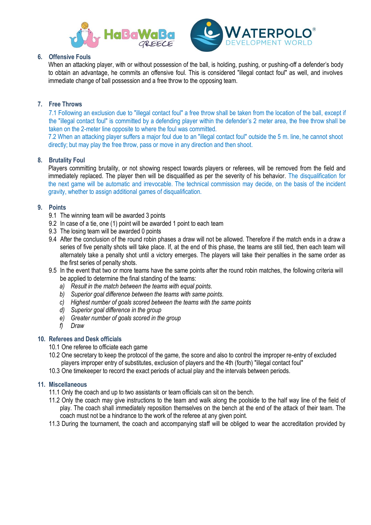



#### **6. Offensive Fouls**

When an attacking player, with or without possession of the ball, is holding, pushing, or pushing-off a defender's body to obtain an advantage, he commits an offensive foul. This is considered "illegal contact foul" as well, and involves immediate change of ball possession and a free throw to the opposing team.

## **7. Free Throws**

7.1 Following an exclusion due to "illegal contact foul" a free throw shall be taken from the location of the ball, except if the "illegal contact foul" is committed by a defending player within the defender's 2 meter area, the free throw shall be taken on the 2-meter line opposite to where the foul was committed.

7.2 When an attacking player suffers a major foul due to an "illegal contact foul" outside the 5 m. line, he cannot shoot directly; but may play the free throw, pass or move in any direction and then shoot.

#### **8. Brutality Foul**

Players committing brutality, or not showing respect towards players or referees, will be removed from the field and immediately replaced. The player then will be disqualified as per the severity of his behavior. The disqualification for the next game will be automatic and irrevocable. The technical commission may decide, on the basis of the incident gravity, whether to assign additional games of disqualification.

#### **9. Points**

- 9.1 The winning team will be awarded 3 points
- 9.2 In case of a tie, one (1) point will be awarded 1 point to each team
- 9.3 The losing team will be awarded 0 points
- 9.4 After the conclusion of the round robin phases a draw will not be allowed. Therefore if the match ends in a draw a series of five penalty shots will take place. If, at the end of this phase, the teams are still tied, then each team will alternately take a penalty shot until a victory emerges. The players will take their penalties in the same order as the first series of penalty shots.
- 9.5 In the event that two or more teams have the same points after the round robin matches, the following criteria will be applied to determine the final standing of the teams:
	- *a) Result in the match between the teams with equal points.*
	- *b) Superior goal difference between the teams with same points.*
	- *c) Highest number of goals scored between the teams with the same points*
	- *d) Superior goal difference in the group*
	- *e) Greater number of goals scored in the group*
	- *f) Draw*

#### **10. Referees and Desk officials**

- 10.1 One referee to officiate each game
- 10.2 One secretary to keep the protocol of the game, the score and also to control the improper re-entry of excluded players improper entry of substitutes, exclusion of players and the 4th (fourth) "illegal contact foul"
- 10.3 One timekeeper to record the exact periods of actual play and the intervals between periods.

#### **11. Miscellaneous**

- 11.1 Only the coach and up to two assistants or team officials can sit on the bench.
- 11.2 Only the coach may give instructions to the team and walk along the poolside to the half way line of the field of play. The coach shall immediately reposition themselves on the bench at the end of the attack of their team. The coach must not be a hindrance to the work of the referee at any given point.
- 11.3 During the tournament, the coach and accompanying staff will be obliged to wear the accreditation provided by